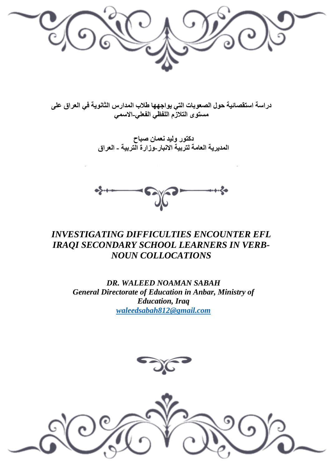

**دراسة استقصائية حول الصعوبات التي يواجهها طالب المدارس الثانوية في العراق على مستوى التالزم اللفظي الفعلي-االسمي**

> **دكتور وليد نعمان صباح المديرية العامة لتربية االنبار-وزارة التربية - العراق**



# *INVESTIGATING DIFFICULTIES ENCOUNTER EFL IRAQI SECONDARY SCHOOL LEARNERS IN VERB-NOUN COLLOCATIONS*

*DR. WALEED NOAMAN SABAH General Directorate of Education in Anbar, Ministry of Education, Iraq [waleedsabah812@gmail.com](mailto:waleedsabah812@gmail.com)*



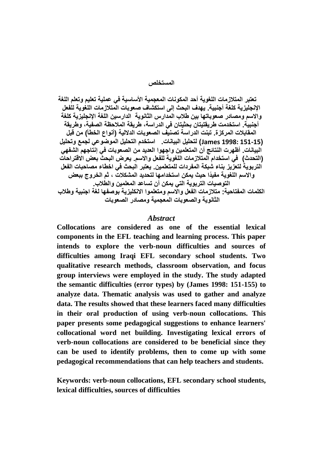**المستخلص**

 **تعتبر المتالزمات اللغوية أحد المكونات المعجمية األساسية في عملية تعليم وتعلم اللغة اإلنجليزية كلغة أجنبية. يهدف البحث إلى استكشاف صعوبات المتالزمات اللغوية للفعل واالسم ومصادر صعوباتها بين طالب المدارس الثانوية الدارسين اللغة اإلنجليزية كلغة أجنبية. استخدمت طريقتيتان بحثيتان في الدراسة، طريقة المالحظة الصفية، وطريقة المقابالت المركزة. تبنت الدراسة تصنيف الصعوبات الداللية )أنواع الخطأ( من قبل )151-15 1998: James )لتحليل البيانات. استخدم التحليل الموضوعي لجمع وتحليل البيانات. أظهرت النتائج أن المتعلمين واجهوا العديد من الصعوبات في إنتاجهم الشفهي )التحدث( في استخدام المتالزمات اللغوية للفعل واالسم. يعرض البحث بعض االقتراحات التربوية لتعزيز بناء شبكة المفردات للمتعلمين. يعتبر البحث في اخطاء مصاحبات الفعل واالسم اللغوية مفيًدا حيث يمكن استخدامها لتحديد المشكالت ، ثم الخروج ببعض التوصيات التربوية التي يمكن أن تساعد المعلمين والطالب. الكلمات المفتاحية: متالزمات الفعل واالسم ومتعلموا االنكليزية بوصفها لغة اجنبية وطالب الثانوية والصعوبات المعجمية ومصادر الصعوبات** 

#### *Abstract*

**Collocations are considered as one of the essential lexical components in the EFL teaching and learning process. This paper intends to explore the verb-noun difficulties and sources of difficulties among Iraqi EFL secondary school students. Two qualitative research methods, classroom observation, and focus group interviews were employed in the study. The study adapted the semantic difficulties (error types) by (James 1998: 151-155) to analyze data. Thematic analysis was used to gather and analyze data. The results showed that these learners faced many difficulties in their oral production of using verb-noun collocations. This paper presents some pedagogical suggestions to enhance learners' collocational word net building. Investigating lexical errors of verb-noun collocations are considered to be beneficial since they can be used to identify problems, then to come up with some pedagogical recommendations that can help teachers and students.** 

**Keywords: verb-noun collocations, EFL secondary school students, lexical difficulties, sources of difficulties**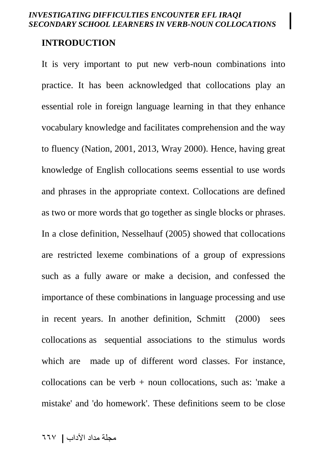#### **INTRODUCTION**

It is very important to put new verb-noun combinations into practice. It has been acknowledged that collocations play an essential role in foreign language learning in that they enhance vocabulary knowledge and facilitates comprehension and the way to fluency (Nation, 2001, 2013, Wray 2000). Hence, having great knowledge of English collocations seems essential to use words and phrases in the appropriate context. Collocations are defined as two or more words that go together as single blocks or phrases. In a close definition, Nesselhauf (2005) showed that collocations are restricted lexeme combinations of a group of expressions such as a fully aware or make a decision, and confessed the importance of these combinations in language processing and use in recent years. In another definition, Schmitt (2000) sees collocations as sequential associations to the stimulus words which are made up of different word classes. For instance, collocations can be verb + noun collocations, such as: 'make a mistake' and 'do homework'. These definitions seem to be close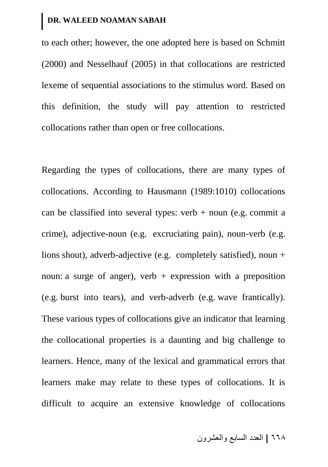to each other; however, the one adopted here is based on Schmitt (2000) and Nesselhauf (2005) in that collocations are restricted lexeme of sequential associations to the stimulus word. Based on this definition, the study will pay attention to restricted collocations rather than open or free collocations.

Regarding the types of collocations, there are many types of collocations. According to Hausmann (1989:1010) collocations can be classified into several types: verb  $+$  noun (e.g. commit a crime), adjective-noun (e.g. excruciating pain), noun-verb (e.g. lions shout), adverb-adjective (e.g. completely satisfied), noun + noun: a surge of anger), verb  $+$  expression with a preposition (e.g. burst into tears), and verb-adverb (e.g. wave frantically). These various types of collocations give an indicator that learning the collocational properties is a daunting and big challenge to learners. Hence, many of the lexical and grammatical errors that learners make may relate to these types of collocations. It is difficult to acquire an extensive knowledge of collocations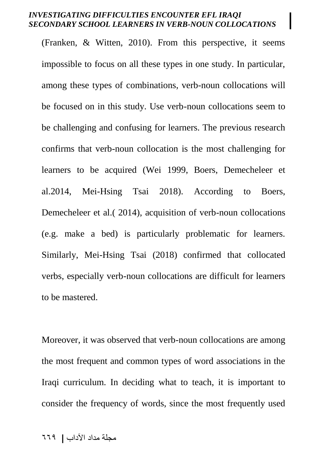(Franken, & Witten, 2010). From this perspective, it seems impossible to focus on all these types in one study. In particular, among these types of combinations, verb-noun collocations will be focused on in this study. Use verb-noun collocations seem to be challenging and confusing for learners. The previous research confirms that verb-noun collocation is the most challenging for learners to be acquired (Wei 1999, Boers, Demecheleer et al.2014, Mei-Hsing Tsai 2018). According to Boers, Demecheleer et al.( 2014), acquisition of verb-noun collocations (e.g. make a bed) is particularly problematic for learners. Similarly, Mei-Hsing Tsai (2018) confirmed that collocated verbs, especially verb-noun collocations are difficult for learners to be mastered.

Moreover, it was observed that verb-noun collocations are among the most frequent and common types of word associations in the Iraqi curriculum. In deciding what to teach, it is important to consider the frequency of words, since the most frequently used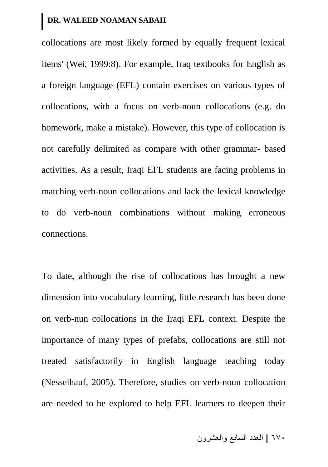collocations are most likely formed by equally frequent lexical items' (Wei, 1999:8). For example, Iraq textbooks for English as a foreign language (EFL) contain exercises on various types of collocations, with a focus on verb-noun collocations (e.g. do homework, make a mistake). However, this type of collocation is not carefully delimited as compare with other grammar- based activities. As a result, Iraqi EFL students are facing problems in matching verb-noun collocations and lack the lexical knowledge to do verb-noun combinations without making erroneous connections.

To date, although the rise of collocations has brought a new dimension into vocabulary learning, little research has been done on verb-nun collocations in the Iraqi EFL context. Despite the importance of many types of prefabs, collocations are still not treated satisfactorily in English language teaching today (Nesselhauf, 2005). Therefore, studies on verb-noun collocation are needed to be explored to help EFL learners to deepen their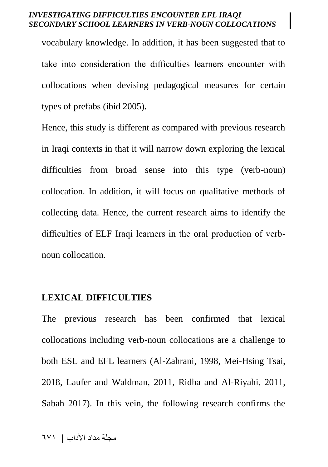vocabulary knowledge. In addition, it has been suggested that to take into consideration the difficulties learners encounter with collocations when devising pedagogical measures for certain types of prefabs (ibid 2005).

Hence, this study is different as compared with previous research in Iraqi contexts in that it will narrow down exploring the lexical difficulties from broad sense into this type (verb-noun) collocation. In addition, it will focus on qualitative methods of collecting data. Hence, the current research aims to identify the difficulties of ELF Iraqi learners in the oral production of verbnoun collocation.

## **LEXICAL DIFFICULTIES**

The previous research has been confirmed that lexical collocations including verb-noun collocations are a challenge to both ESL and EFL learners (Al-Zahrani, 1998, Mei-Hsing Tsai, 2018, Laufer and Waldman, 2011, [Ridha and Al-Riyahi, 2011,](#page-30-0) Sabah 2017). In this vein, the following research confirms the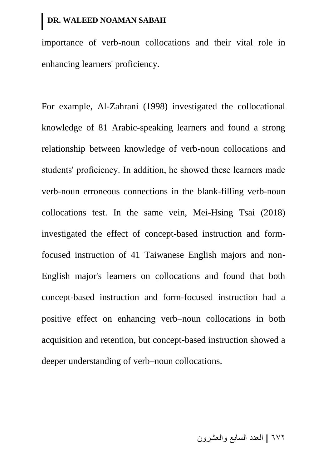importance of verb-noun collocations and their vital role in enhancing learners' proficiency.

For example, Al-Zahrani (1998) investigated the collocational knowledge of 81 Arabic-speaking learners and found a strong relationship between knowledge of verb-noun collocations and students' proficiency. In addition, he showed these learners made verb-noun erroneous connections in the blank-filling verb-noun collocations test. In the same vein, Mei-Hsing Tsai (2018) investigated the effect of concept-based instruction and formfocused instruction of 41 Taiwanese English majors and non-English major's learners on collocations and found that both concept-based instruction and form-focused instruction had a positive effect on enhancing verb–noun collocations in both acquisition and retention, but concept-based instruction showed a deeper understanding of verb–noun collocations.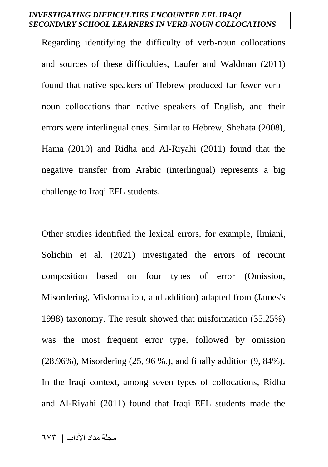Regarding identifying the difficulty of verb-noun collocations and sources of these difficulties, Laufer and Waldman (2011) found that native speakers of Hebrew produced far fewer verb– noun collocations than native speakers of English, and their errors were interlingual ones. Similar to Hebrew, Shehata (2008), Hama (2010) and Ridha and Al-Riyahi (2011) found that the negative transfer from Arabic (interlingual) represents a big challenge to Iraqi EFL students.

Other studies identified the lexical errors, for example, [Ilmiani,](#page-30-0)  [Solichin et al. \(2021\)](#page-30-0) investigated the errors of recount composition based on four types of error (Omission, Misordering, Misformation, and addition) adapted from (James's 1998) taxonomy. The result showed that misformation (35.25%) was the most frequent error type, followed by omission (28.96%), Misordering (25, 96 %.), and finally addition (9, 84%). In the Iraqi context, among seven types of collocations, [Ridha](#page-30-0)  [and Al-Riyahi \(2011\)](#page-30-0) found that Iraqi EFL students made the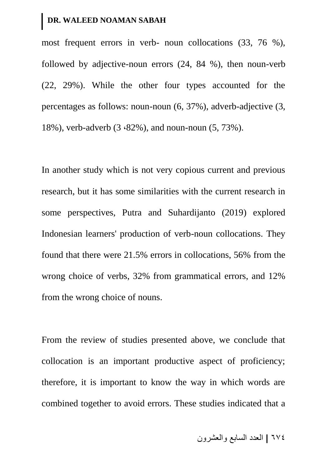most frequent errors in verb- noun collocations (33, 76 %), followed by adjective-noun errors (24, 84 %), then noun-verb (22, 29%). While the other four types accounted for the percentages as follows: noun-noun (6, 37%), adverb-adjective (3, 18%), verb-adverb (3  $\cdot$ 82%), and noun-noun (5, 73%).

In another study which is not very copious current and previous research, but it has some similarities with the current research in some perspectives, [Putra and Suhardijanto \(2019\)](#page-30-0) explored Indonesian learners' production of verb-noun collocations. They found that there were 21.5% errors in collocations, 56% from the wrong choice of verbs, 32% from grammatical errors, and 12% from the wrong choice of nouns.

From the review of studies presented above, we conclude that collocation is an important productive aspect of proficiency; therefore, it is important to know the way in which words are combined together to avoid errors. These studies indicated that a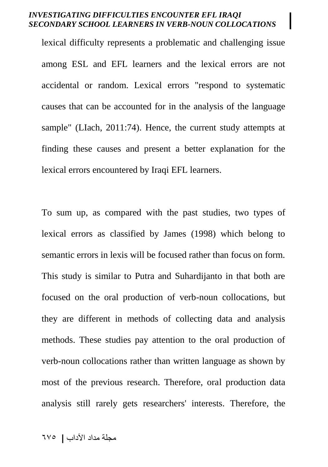lexical difficulty represents a problematic and challenging issue among ESL and EFL learners and the lexical errors are not accidental or random. Lexical errors "respond to systematic causes that can be accounted for in the analysis of the language sample" (LIach, 2011:74). Hence, the current study attempts at finding these causes and present a better explanation for the lexical errors encountered by Iraqi EFL learners.

To sum up, as compared with the past studies, two types of lexical errors as classified by James (1998) which belong to semantic errors in lexis will be focused rather than focus on form. This study is similar to Putra and Suhardijanto in that both are focused on the oral production of verb-noun collocations, but they are different in methods of collecting data and analysis methods. These studies pay attention to the oral production of verb-noun collocations rather than written language as shown by most of the previous research. Therefore, oral production data analysis still rarely gets researchers' interests. Therefore, the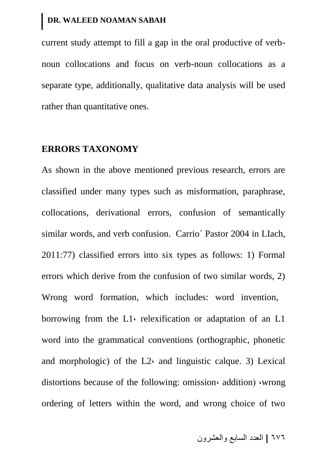current study attempt to fill a gap in the oral productive of verbnoun collocations and focus on verb-noun collocations as a separate type, additionally, qualitative data analysis will be used rather than quantitative ones.

### **ERRORS TAXONOMY**

As shown in the above mentioned previous research, errors are classified under many types such as misformation, paraphrase, collocations, derivational errors, confusion of semantically similar words, and verb confusion. Carrio´ Pastor 2004 in LIach, 2011:77) classified errors into six types as follows: 1) Formal errors which derive from the confusion of two similar words, 2) Wrong word formation, which includes: word invention, borrowing from the  $L1$  relexification or adaptation of an  $L1$ word into the grammatical conventions (orthographic, phonetic and morphologic) of the  $L2<sub>c</sub>$  and linguistic calque. 3) Lexical distortions because of the following: omission, addition wrong ordering of letters within the word, and wrong choice of two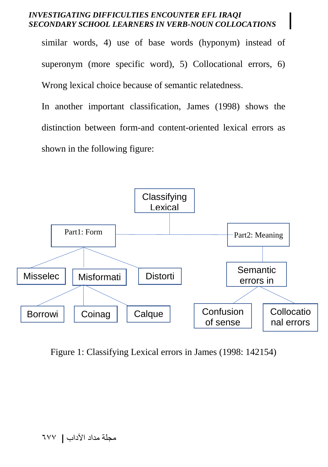similar words, 4) use of base words (hyponym) instead of superonym (more specific word), 5) Collocational errors, 6) Wrong lexical choice because of semantic relatedness.

In another important classification, James (1998) shows the distinction between form-and content-oriented lexical errors as shown in the following figure:



Figure 1: Classifying Lexical errors in James (1998: 142154)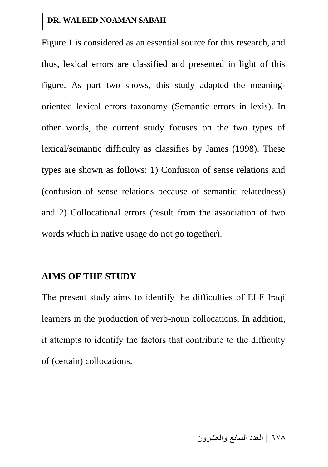Figure 1 is considered as an essential source for this research, and thus, lexical errors are classified and presented in light of this figure. As part two shows, this study adapted the meaningoriented lexical errors taxonomy (Semantic errors in lexis). In other words, the current study focuses on the two types of lexical/semantic difficulty as classifies by James (1998). These types are shown as follows: 1) Confusion of sense relations and (confusion of sense relations because of semantic relatedness) and 2) Collocational errors (result from the association of two words which in native usage do not go together).

### **AIMS OF THE STUDY**

The present study aims to identify the difficulties of ELF Iraqi learners in the production of verb-noun collocations. In addition, it attempts to identify the factors that contribute to the difficulty of (certain) collocations.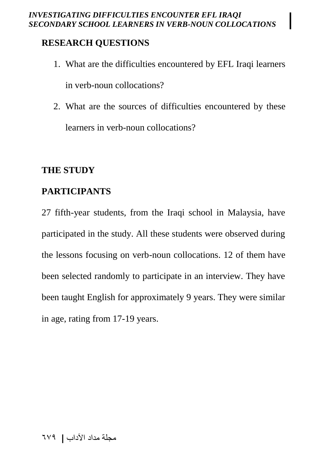# **RESEARCH QUESTIONS**

- 1. What are the difficulties encountered by EFL Iraqi learners in verb-noun collocations?
- 2. What are the sources of difficulties encountered by these learners in verb-noun collocations?

### **THE STUDY**

### **PARTICIPANTS**

27 fifth-year students, from the Iraqi school in Malaysia, have participated in the study. All these students were observed during the lessons focusing on verb-noun collocations. 12 of them have been selected randomly to participate in an interview. They have been taught English for approximately 9 years. They were similar in age, rating from 17-19 years.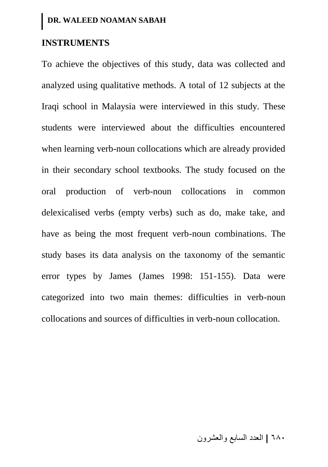### **INSTRUMENTS**

To achieve the objectives of this study, data was collected and analyzed using qualitative methods. A total of 12 subjects at the Iraqi school in Malaysia were interviewed in this study. These students were interviewed about the difficulties encountered when learning verb-noun collocations which are already provided in their secondary school textbooks. The study focused on the oral production of verb-noun collocations in common delexicalised verbs (empty verbs) such as do, make take, and have as being the most frequent verb-noun combinations. The study bases its data analysis on the taxonomy of the semantic error types by James (James 1998: 151-155). Data were categorized into two main themes: difficulties in verb-noun collocations and sources of difficulties in verb-noun collocation.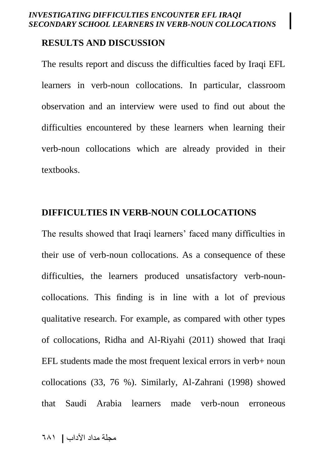### **RESULTS AND DISCUSSION**

The results report and discuss the difficulties faced by Iraqi EFL learners in verb-noun collocations. In particular, classroom observation and an interview were used to find out about the difficulties encountered by these learners when learning their verb-noun collocations which are already provided in their textbooks.

### **DIFFICULTIES IN VERB-NOUN COLLOCATIONS**

The results showed that Iraqi learners' faced many difficulties in their use of verb-noun collocations. As a consequence of these difficulties, the learners produced unsatisfactory verb-nouncollocations. This finding is in line with a lot of previous qualitative research. For example, as compared with other types of collocations, [Ridha and Al-Riyahi \(2011\)](#page-30-0) showed that Iraqi EFL students made the most frequent lexical errors in verb+ noun collocations (33, 76 %). Similarly, Al-Zahrani (1998) showed that Saudi Arabia learners made verb-noun erroneous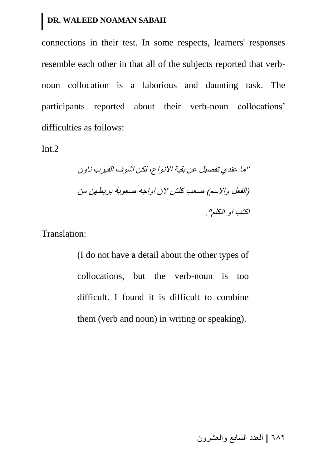connections in their test. In some respects, learners' responses resemble each other in that all of the subjects reported that verbnoun collocation is a laborious and daunting task. The participants reported about their verb-noun collocations' difficulties as follows:

Int.2

"ما عندي تفصيل عن بقية االنواع, لكن اشوف الفيرب ناون )الفعل واالسم( صعب كلش الن اواجه صعوبة بربطهن من اكتب او اتكلم".

Translation:

(I do not have a detail about the other types of collocations, but the verb-noun is too difficult. I found it is difficult to combine them (verb and noun) in writing or speaking).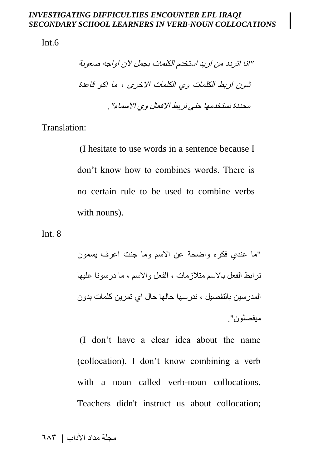Int.6

"انا اتردد من اريد استخدم الكلمات بجمل الن اواجه صعوبة شون اربط الكلمات وي الكلمات االخرى , ما اكو قاعدة محددة نستخدمها حتى نربط االفعال وي االسماء".

Translation:

(I hesitate to use words in a sentence because I don't know how to combines words. There is no certain rule to be used to combine verbs with nouns).

Int. 8

"ما عندي فكره واضحة عن االسم وما جنت اعرف يسمون ترابط الفعل باالسم متالزمات , الفعل واالسم , ما درسونا عليها المدرسين بالتفصيل , ندرسها حالها حال اي تمرين كلمات بدون ميفصلون".

(I don't have a clear idea about the name (collocation). I don't know combining a verb with a noun called verb-noun collocations. Teachers didn't instruct us about collocation;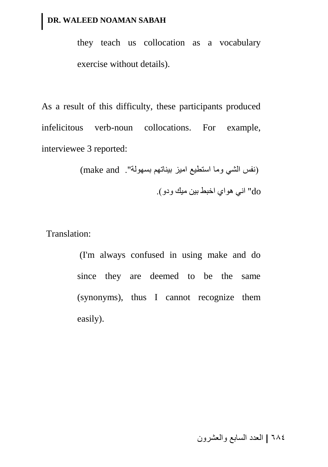they teach us collocation as a vocabulary exercise without details).

As a result of this difficulty, these participants produced infelicitous verb-noun collocations. For example, interviewee 3 reported:

> (نفس الشي وما استطيع اميز بيناتهم بسهولة". make and) do "اني هواي اخبط بين ميك ودو(.

Translation:

(I'm always confused in using make and do since they are deemed to be the same (synonyms), thus I cannot recognize them easily).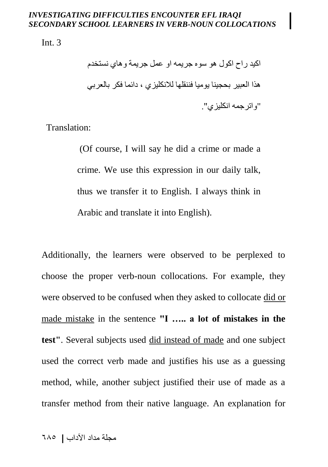Int. 3

اكيد راح اكول هو سوه جريمه او عمل جريمة وهاي نستخدم هذا العبير بحجينا يوميا فننقلها لالنكليزي , دائما فكر بالعربي "واترجمه انكليزي".

Translation:

(Of course, I will say he did a crime or made a crime. We use this expression in our daily talk, thus we transfer it to English. I always think in Arabic and translate it into English).

Additionally, the learners were observed to be perplexed to choose the proper verb-noun collocations. For example, they were observed to be confused when they asked to collocate did or made mistake in the sentence **"I ….. a lot of mistakes in the test"**. Several subjects used did instead of made and one subject used the correct verb made and justifies his use as a guessing method, while, another subject justified their use of made as a transfer method from their native language. An explanation for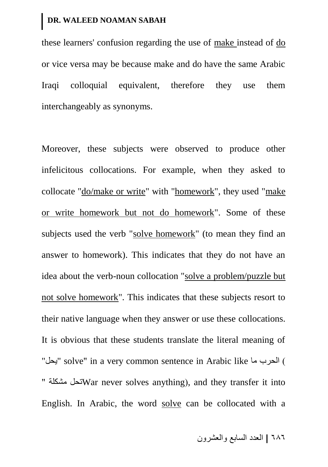these learners' confusion regarding the use of make instead of do or vice versa may be because make and do have the same Arabic Iraqi colloquial equivalent, therefore they use them interchangeably as synonyms.

Moreover, these subjects were observed to produce other infelicitous collocations. For example, when they asked to collocate "do/make or write" with "homework", they used "make or write homework but not do homework". Some of these subjects used the verb "solve homework" (to mean they find an answer to homework). This indicates that they do not have an idea about the verb-noun collocation "solve a problem/puzzle but not solve homework". This indicates that these subjects resort to their native language when they answer or use these collocations. It is obvious that these students translate the literal meaning of "يحل " solve" in a very common sentence in Arabic like "يحل" " مشكلة تحل مشكلة ت $\text{War}$  never solves anything), and they transfer it into English. In Arabic, the word solve can be collocated with a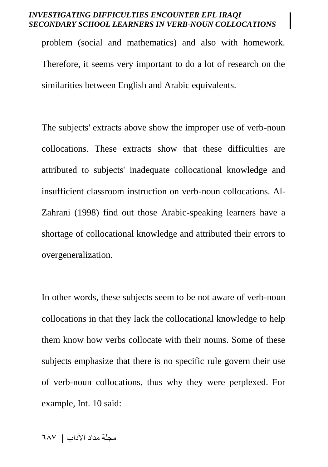problem (social and mathematics) and also with homework. Therefore, it seems very important to do a lot of research on the similarities between English and Arabic equivalents.

The subjects' extracts above show the improper use of verb-noun collocations. These extracts show that these difficulties are attributed to subjects' inadequate collocational knowledge and insufficient classroom instruction on verb-noun collocations. Al-Zahrani (1998) find out those Arabic-speaking learners have a shortage of collocational knowledge and attributed their errors to overgeneralization.

In other words, these subjects seem to be not aware of verb-noun collocations in that they lack the collocational knowledge to help them know how verbs collocate with their nouns. Some of these subjects emphasize that there is no specific rule govern their use of verb-noun collocations, thus why they were perplexed. For example, Int. 10 said: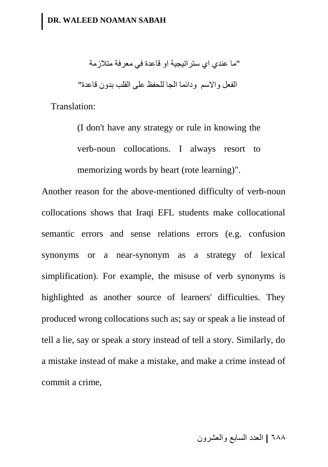"ما عندي اي ستراتيجية او قاعدة في معرفة متالزمة الفعل واالسم ودائما الجا للحفظ على القلب بدون قاعدة"

Translation:

(I don't have any strategy or rule in knowing the verb-noun collocations. I always resort to memorizing words by heart (rote learning)".

Another reason for the above-mentioned difficulty of verb-noun collocations shows that Iraqi EFL students make collocational semantic errors and sense relations errors (e.g. confusion synonyms or a near-synonym as a strategy of lexical simplification). For example, the misuse of verb synonyms is highlighted as another source of learners' difficulties. They produced wrong collocations such as; say or speak a lie instead of tell a lie, say or speak a story instead of tell a story. Similarly, do a mistake instead of make a mistake, and make a crime instead of commit a crime,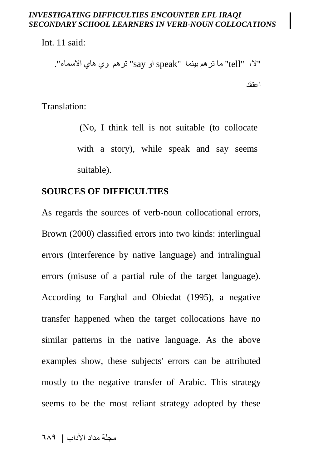Int. 11 said:

"ال, "tell "ما ترهم بينما "speak او say "ترهم وي هاي االسماء". اعتقد

Translation:

(No, I think tell is not suitable (to collocate with a story), while speak and say seems suitable).

### **SOURCES OF DIFFICULTIES**

As regards the sources of verb-noun collocational errors, Brown (2000) classified errors into two kinds: interlingual errors (interference by native language) and intralingual errors (misuse of a partial rule of the target language). According to Farghal and Obiedat (1995), a negative transfer happened when the target collocations have no similar patterns in the native language. As the above examples show, these subjects' errors can be attributed mostly to the negative transfer of Arabic. This strategy seems to be the most reliant strategy adopted by these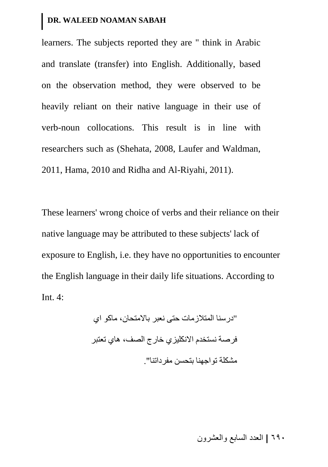learners. The subjects reported they are " think in Arabic and translate (transfer) into English. Additionally, based on the observation method, they were observed to be heavily reliant on their native language in their use of verb-noun collocations. This result is in line with researchers such as (Shehata, 2008, Laufer and Waldman, 2011, Hama, 2010 and Ridha and Al-Riyahi, 2011).

These learners' wrong choice of verbs and their reliance on their native language may be attributed to these subjects' lack of exposure to English, i.e. they have no opportunities to encounter the English language in their daily life situations. According to Int. 4:

> "درسنا المتالزمات حتى نعبر باالمتحان, ماكو اي فرصة نستخدم االنكليزي خارج الصف, هاي تعتبر مشكلة تواجهنا بتحسن مفرداتنا".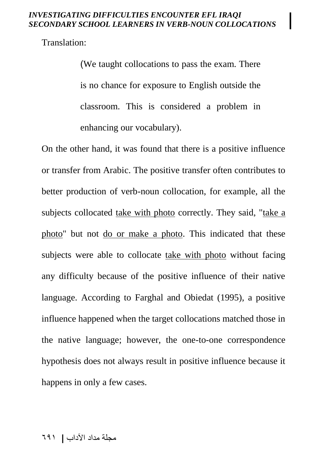Translation:

)We taught collocations to pass the exam. There is no chance for exposure to English outside the classroom. This is considered a problem in enhancing our vocabulary).

On the other hand, it was found that there is a positive influence or transfer from Arabic. The positive transfer often contributes to better production of verb-noun collocation, for example, all the subjects collocated take with photo correctly. They said, "take a photo" but not do or make a photo. This indicated that these subjects were able to collocate take with photo without facing any difficulty because of the positive influence of their native language. According to Farghal and Obiedat (1995), a positive influence happened when the target collocations matched those in the native language; however, the one-to-one correspondence hypothesis does not always result in positive influence because it happens in only a few cases.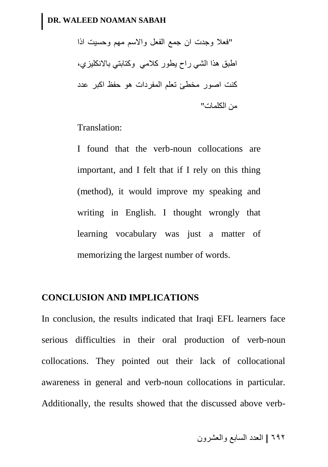"فعال وجدت ان جمع الفعل واالسم مهم وحسيت اذا اطبق هذا الشي راح يطور كالمي وكتابتي باالنكليزي, كنت اصور مخطئ تعلم المفردات هو حفظ اكبر عدد من الكلمات"

Translation:

I found that the verb-noun collocations are important, and I felt that if I rely on this thing (method), it would improve my speaking and writing in English. I thought wrongly that learning vocabulary was just a matter of memorizing the largest number of words.

### **CONCLUSION AND IMPLICATIONS**

In conclusion, the results indicated that Iraqi EFL learners face serious difficulties in their oral production of verb-noun collocations. They pointed out their lack of collocational awareness in general and verb-noun collocations in particular. Additionally, the results showed that the discussed above verb-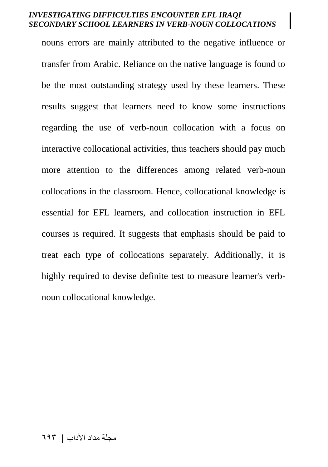nouns errors are mainly attributed to the negative influence or transfer from Arabic. Reliance on the native language is found to be the most outstanding strategy used by these learners. These results suggest that learners need to know some instructions regarding the use of verb-noun collocation with a focus on interactive collocational activities, thus teachers should pay much more attention to the differences among related verb-noun collocations in the classroom. Hence, collocational knowledge is essential for EFL learners, and collocation instruction in EFL courses is required. It suggests that emphasis should be paid to treat each type of collocations separately. Additionally, it is highly required to devise definite test to measure learner's verbnoun collocational knowledge.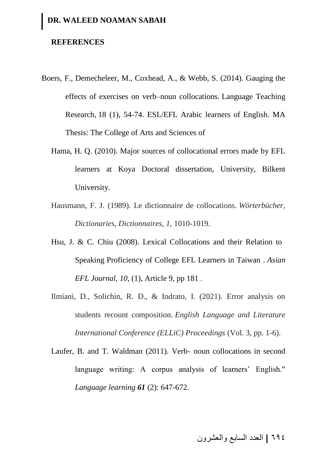#### **REFERENCES**

- Boers, F., Demecheleer, M., Coxhead, A., & Webb, S. (2014). Gauging the effects of exercises on verb–noun collocations. Language Teaching Research, 18 (1), 54-74. ESL/EFL Arabic learners of English. MA Thesis: The College of Arts and Sciences of
	- Hama, H. Q. (2010). Major sources of collocational errors made by EFL learners at Koya Doctoral dissertation, University, Bilkent University.
	- Hausmann, F. J. (1989). Le dictionnaire de collocations. *Wörterbücher, Dictionaries, Dictionnaires*, *1*, 1010-1019.
	- Hsu, J. & C. Chiu (2008). Lexical Collocations and their Relation to Speaking Proficiency of College EFL Learners in Taiwan . *Asian EFL Journal, 10*, (1), Article 9, pp 181 .
	- Ilmiani, D., Solichin, R. D., & Indrato, I. (2021). Error analysis on students recount composition. *English Language and Literature International Conference (ELLiC) Proceedings* (Vol. 3, pp. 1-6).
	- Laufer, B. and T. Waldman (2011). Verb- noun collocations in second language writing: A corpus analysis of learners' English." *Language learning 61* (2): 647-672.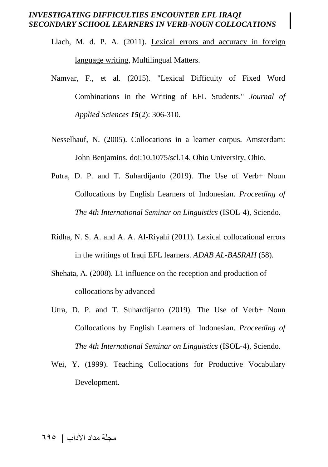- Llach, M. d. P. A. (2011). Lexical errors and accuracy in foreign language writing, Multilingual Matters.
- Namvar, F., et al. (2015). "Lexical Difficulty of Fixed Word Combinations in the Writing of EFL Students." *Journal of Applied Sciences 15*(2): 306-310.
- Nesselhauf, N. (2005). Collocations in a learner corpus. Amsterdam: John Benjamins. doi:10.1075/scl.14. Ohio University, Ohio.
- <span id="page-30-0"></span>Putra, D. P. and T. Suhardijanto (2019). The Use of Verb+ Noun Collocations by English Learners of Indonesian. *Proceeding of The 4th International Seminar on Linguistics* (ISOL-4), Sciendo.
- Ridha, N. S. A. and A. A. Al-Riyahi (2011). Lexical collocational errors in the writings of Iraqi EFL learners. *ADAB AL-BASRAH* (58).
- Shehata, A. (2008). L1 influence on the reception and production of collocations by advanced
- Utra, D. P. and T. Suhardijanto (2019). The Use of Verb+ Noun Collocations by English Learners of Indonesian. *Proceeding of The 4th International Seminar on Linguistics* (ISOL-4), Sciendo.
- Wei, Y. (1999). Teaching Collocations for Productive Vocabulary Development.